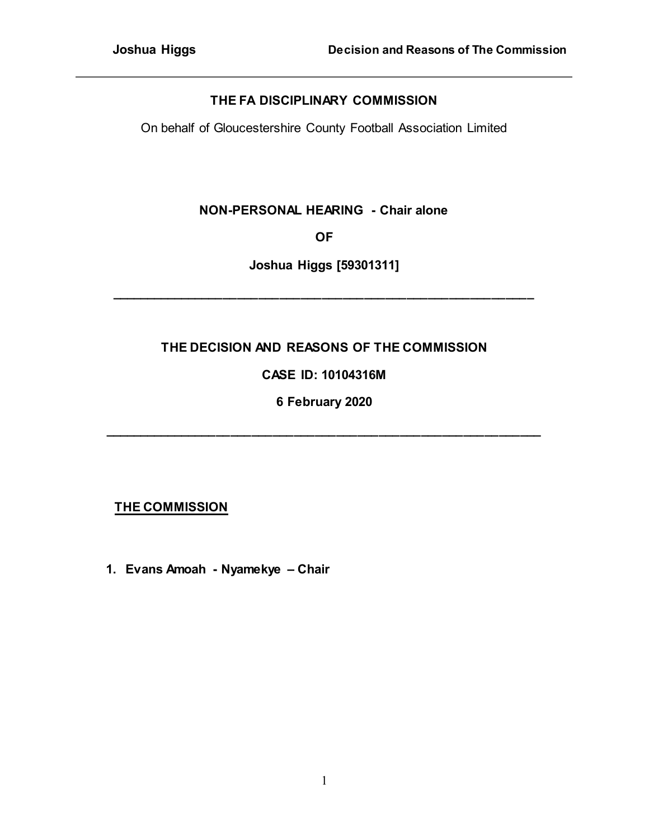## **THE FA DISCIPLINARY COMMISSION**

On behalf of Gloucestershire County Football Association Limited

## **NON-PERSONAL HEARING - Chair alone**

**OF**

**Joshua Higgs [59301311]**

**\_\_\_\_\_\_\_\_\_\_\_\_\_\_\_\_\_\_\_\_\_\_\_\_\_\_\_\_\_\_\_\_\_\_\_\_\_\_\_\_\_\_\_\_\_\_\_\_\_\_\_\_\_\_\_\_\_\_\_\_**

# **THE DECISION AND REASONS OF THE COMMISSION**

# **CASE ID: 10104316M**

**6 February 2020**

**\_\_\_\_\_\_\_\_\_\_\_\_\_\_\_\_\_\_\_\_\_\_\_\_\_\_\_\_\_\_\_\_\_\_\_\_\_\_\_\_\_\_\_\_\_\_\_\_\_\_\_\_\_\_\_\_\_\_\_\_\_\_**

# **THE COMMISSION**

**1. Evans Amoah - Nyamekye – Chair**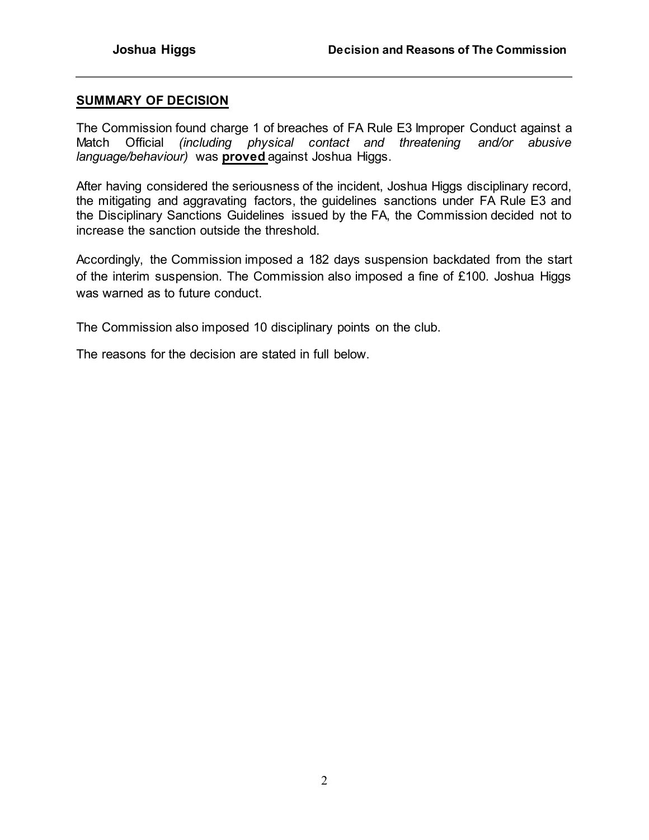#### **SUMMARY OF DECISION**

The Commission found charge 1 of breaches of FA Rule E3 Improper Conduct against a Match Official *(including physical contact and threatening and/or abusive language/behaviour)* was **proved** against Joshua Higgs.

After having considered the seriousness of the incident, Joshua Higgs disciplinary record, the mitigating and aggravating factors, the guidelines sanctions under FA Rule E3 and the Disciplinary Sanctions Guidelines issued by the FA, the Commission decided not to increase the sanction outside the threshold.

Accordingly, the Commission imposed a 182 days suspension backdated from the start of the interim suspension. The Commission also imposed a fine of £100. Joshua Higgs was warned as to future conduct.

The Commission also imposed 10 disciplinary points on the club.

The reasons for the decision are stated in full below.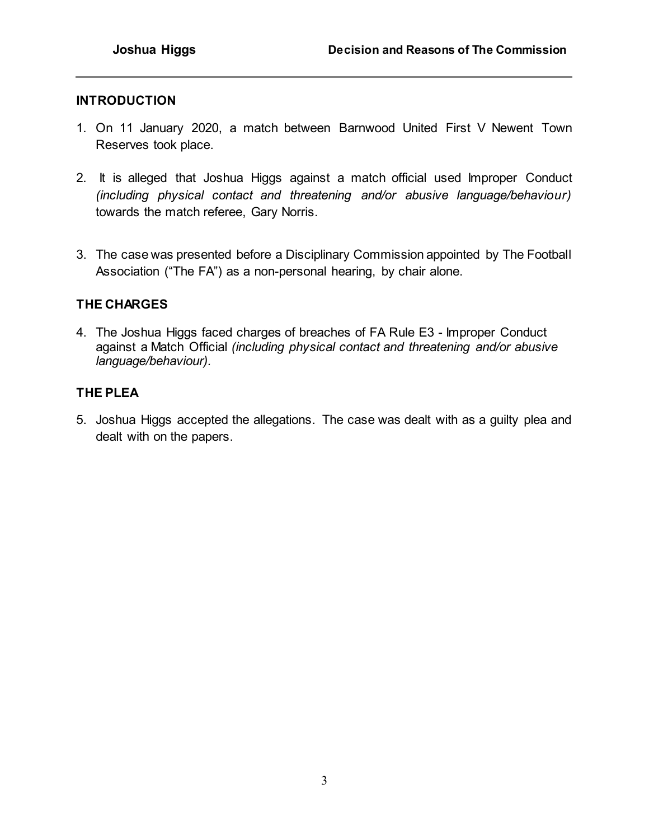### **INTRODUCTION**

- 1. On 11 January 2020, a match between Barnwood United First V Newent Town Reserves took place.
- 2. It is alleged that Joshua Higgs against a match official used Improper Conduct *(including physical contact and threatening and/or abusive language/behaviour)* towards the match referee, Gary Norris.
- 3. The case was presented before a Disciplinary Commission appointed by The Football Association ("The FA") as a non-personal hearing, by chair alone.

## **THE CHARGES**

4. The Joshua Higgs faced charges of breaches of FA Rule E3 - Improper Conduct against a Match Official *(including physical contact and threatening and/or abusive language/behaviour).*

## **THE PLEA**

5. Joshua Higgs accepted the allegations. The case was dealt with as a guilty plea and dealt with on the papers.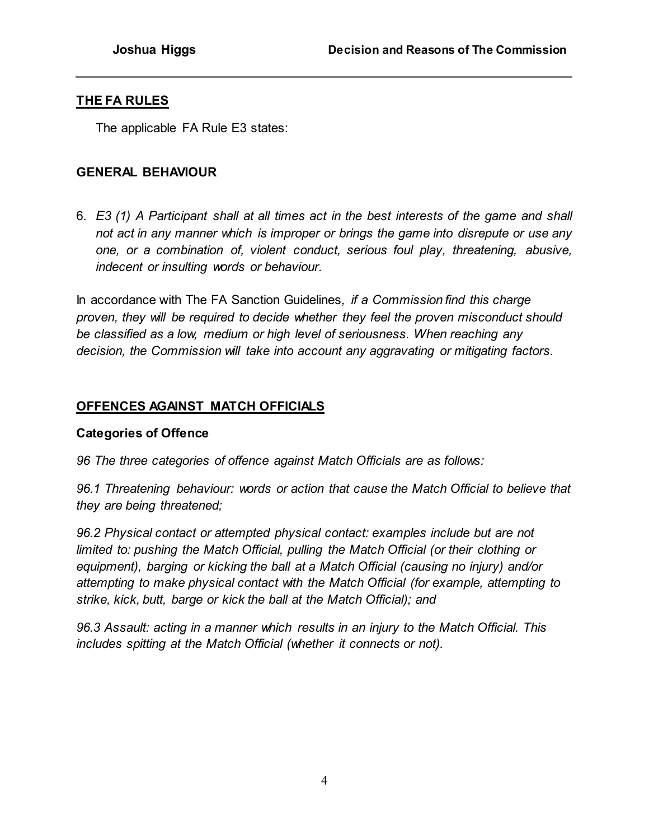## **THE FA RULES**

The applicable FA Rule E3 states:

## **GENERAL BEHAVIOUR**

6. *E3 (1) A Participant shall at all times act in the best interests of the game and shall not act in any manner which is improper or brings the game into disrepute or use any one, or a combination of, violent conduct, serious foul play, threatening, abusive, indecent or insulting words or behaviour.*

In accordance with The FA Sanction Guidelines*, if a Commission find this charge proven, they will be required to decide whether they feel the proven misconduct should be classified as a low, medium or high level of seriousness. When reaching any decision, the Commission will take into account any aggravating or mitigating factors.*

## **OFFENCES AGAINST MATCH OFFICIALS**

## **Categories of Offence**

*96 The three categories of offence against Match Officials are as follows:* 

*96.1 Threatening behaviour: words or action that cause the Match Official to believe that they are being threatened;* 

*96.2 Physical contact or attempted physical contact: examples include but are not limited to: pushing the Match Official, pulling the Match Official (or their clothing or equipment), barging or kicking the ball at a Match Official (causing no injury) and/or attempting to make physical contact with the Match Official (for example, attempting to strike, kick, butt, barge or kick the ball at the Match Official); and* 

*96.3 Assault: acting in a manner which results in an injury to the Match Official. This includes spitting at the Match Official (whether it connects or not).*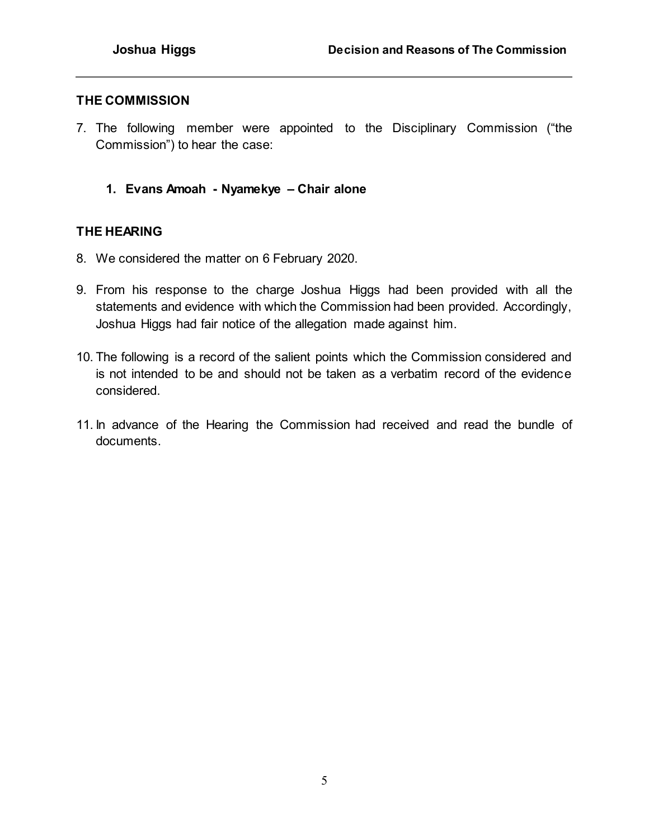#### **THE COMMISSION**

- 7. The following member were appointed to the Disciplinary Commission ("the Commission") to hear the case:
	- **1. Evans Amoah - Nyamekye – Chair alone**

#### **THE HEARING**

- 8. We considered the matter on 6 February 2020.
- 9. From his response to the charge Joshua Higgs had been provided with all the statements and evidence with which the Commission had been provided. Accordingly, Joshua Higgs had fair notice of the allegation made against him.
- 10. The following is a record of the salient points which the Commission considered and is not intended to be and should not be taken as a verbatim record of the evidence considered.
- 11. In advance of the Hearing the Commission had received and read the bundle of documents.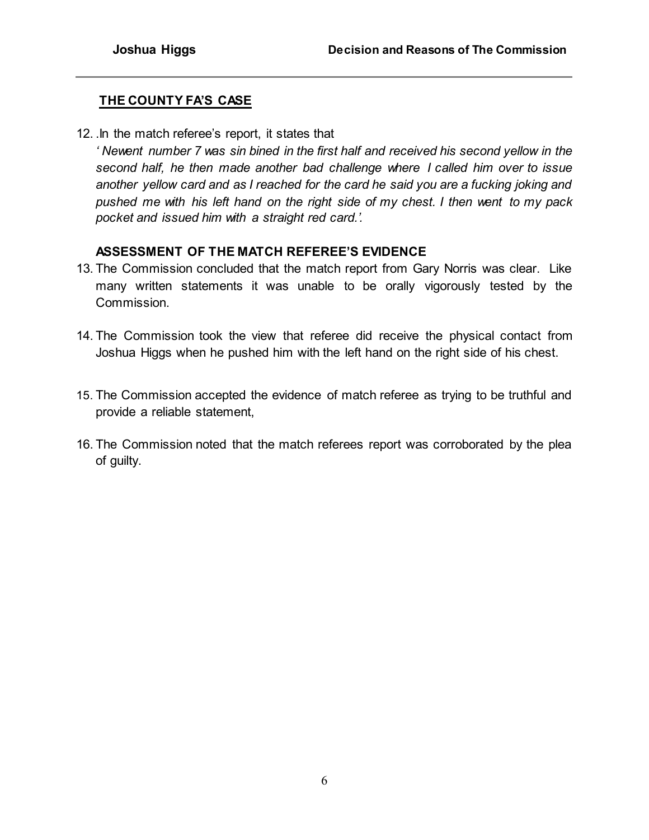## **THE COUNTY FA'S CASE**

12. .In the match referee's report, it states that

*' Newent number 7 was sin bined in the first half and received his second yellow in the second half, he then made another bad challenge where I called him over to issue another yellow card and as I reached for the card he said you are a fucking joking and pushed me with his left hand on the right side of my chest. I then went to my pack pocket and issued him with a straight red card.'.*

## **ASSESSMENT OF THE MATCH REFEREE'S EVIDENCE**

- 13. The Commission concluded that the match report from Gary Norris was clear. Like many written statements it was unable to be orally vigorously tested by the Commission.
- 14. The Commission took the view that referee did receive the physical contact from Joshua Higgs when he pushed him with the left hand on the right side of his chest.
- 15. The Commission accepted the evidence of match referee as trying to be truthful and provide a reliable statement,
- 16. The Commission noted that the match referees report was corroborated by the plea of guilty.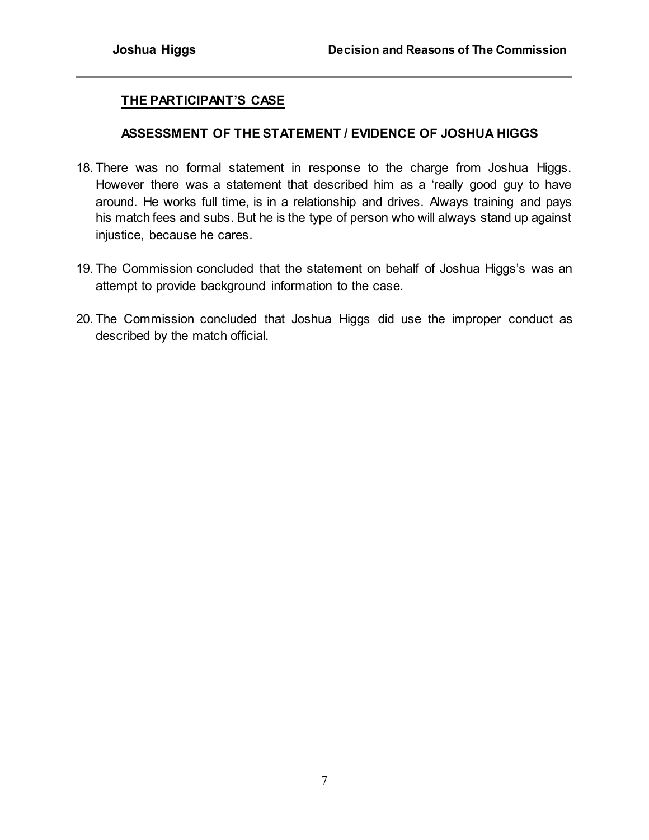### **THE PARTICIPANT'S CASE**

#### **ASSESSMENT OF THE STATEMENT / EVIDENCE OF JOSHUA HIGGS**

- 18. There was no formal statement in response to the charge from Joshua Higgs. However there was a statement that described him as a 'really good guy to have around. He works full time, is in a relationship and drives. Always training and pays his match fees and subs. But he is the type of person who will always stand up against injustice, because he cares.
- 19. The Commission concluded that the statement on behalf of Joshua Higgs's was an attempt to provide background information to the case.
- 20. The Commission concluded that Joshua Higgs did use the improper conduct as described by the match official.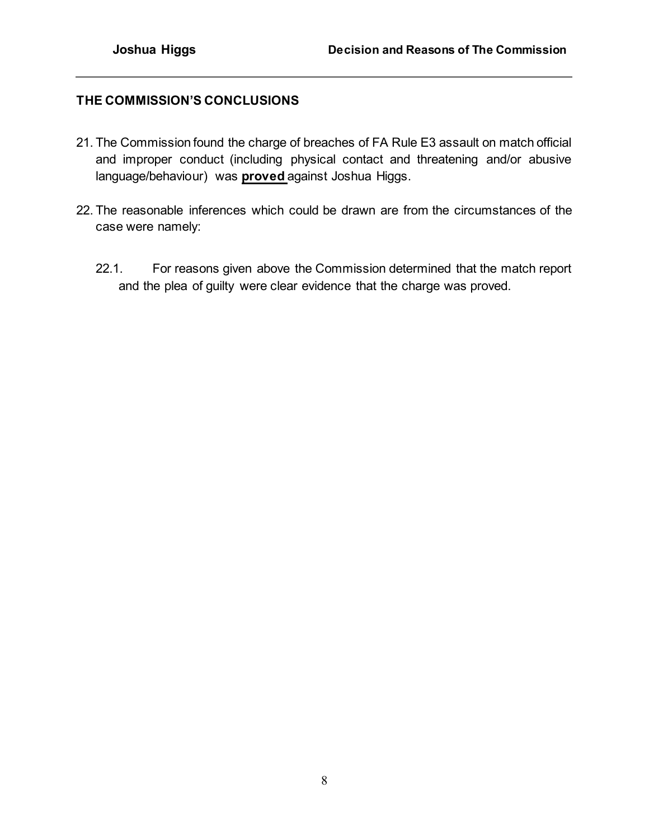## **THE COMMISSION'S CONCLUSIONS**

- 21. The Commission found the charge of breaches of FA Rule E3 assault on match official and improper conduct (including physical contact and threatening and/or abusive language/behaviour) was **proved** against Joshua Higgs.
- 22. The reasonable inferences which could be drawn are from the circumstances of the case were namely:
	- 22.1. For reasons given above the Commission determined that the match report and the plea of guilty were clear evidence that the charge was proved.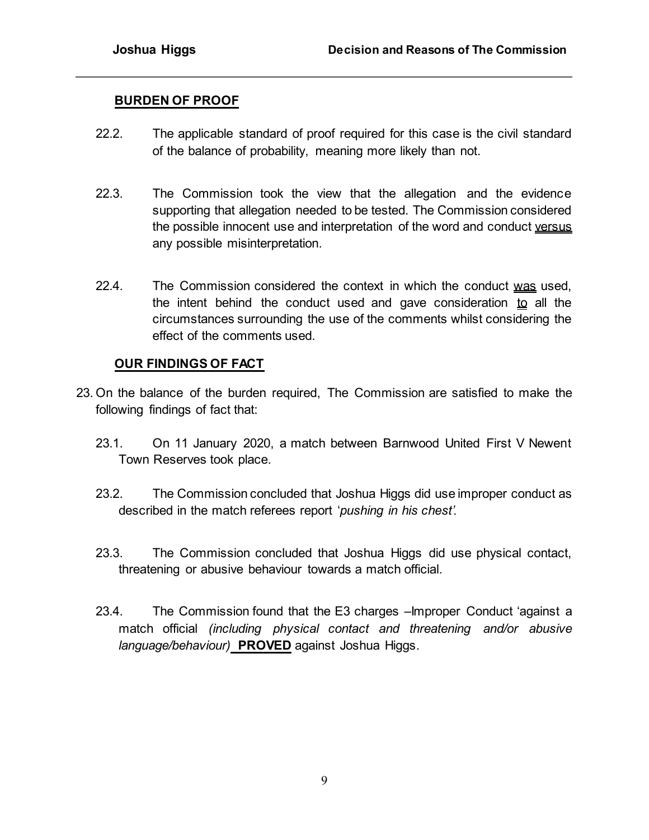### **BURDEN OF PROOF**

- 22.2. The applicable standard of proof required for this case is the civil standard of the balance of probability, meaning more likely than not.
- 22.3. The Commission took the view that the allegation and the evidence supporting that allegation needed to be tested. The Commission considered the possible innocent use and interpretation of the word and conduct versus any possible misinterpretation.
- 22.4. The Commission considered the context in which the conduct was used, the intent behind the conduct used and gave consideration  $\mathbf{to}$  all the circumstances surrounding the use of the comments whilst considering the effect of the comments used.

### **OUR FINDINGS OF FACT**

- 23. On the balance of the burden required, The Commission are satisfied to make the following findings of fact that:
	- 23.1. On 11 January 2020, a match between Barnwood United First V Newent Town Reserves took place.
	- 23.2. The Commission concluded that Joshua Higgs did use improper conduct as described in the match referees report '*pushing in his chest'.*
	- 23.3. The Commission concluded that Joshua Higgs did use physical contact, threatening or abusive behaviour towards a match official.
	- 23.4. The Commission found that the E3 charges –Improper Conduct 'against a match official *(including physical contact and threatening and/or abusive language/behaviour)* **PROVED** against Joshua Higgs.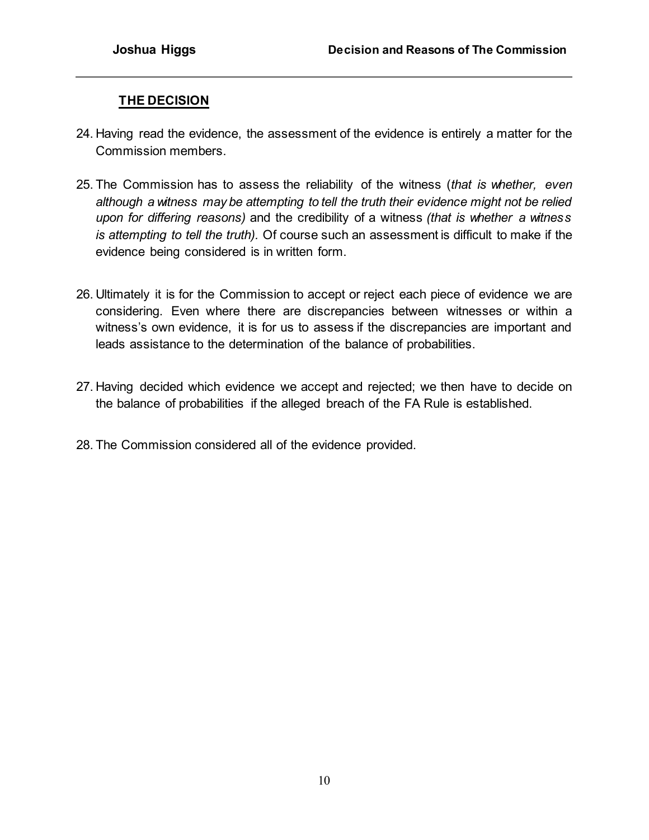# **THE DECISION**

- 24. Having read the evidence, the assessment of the evidence is entirely a matter for the Commission members.
- 25. The Commission has to assess the reliability of the witness (*that is whether, even although a witness may be attempting to tell the truth their evidence might not be relied upon for differing reasons)* and the credibility of a witness *(that is whether a witness is attempting to tell the truth).* Of course such an assessment is difficult to make if the evidence being considered is in written form.
- 26. Ultimately it is for the Commission to accept or reject each piece of evidence we are considering. Even where there are discrepancies between witnesses or within a witness's own evidence, it is for us to assess if the discrepancies are important and leads assistance to the determination of the balance of probabilities.
- 27. Having decided which evidence we accept and rejected; we then have to decide on the balance of probabilities if the alleged breach of the FA Rule is established.
- 28. The Commission considered all of the evidence provided.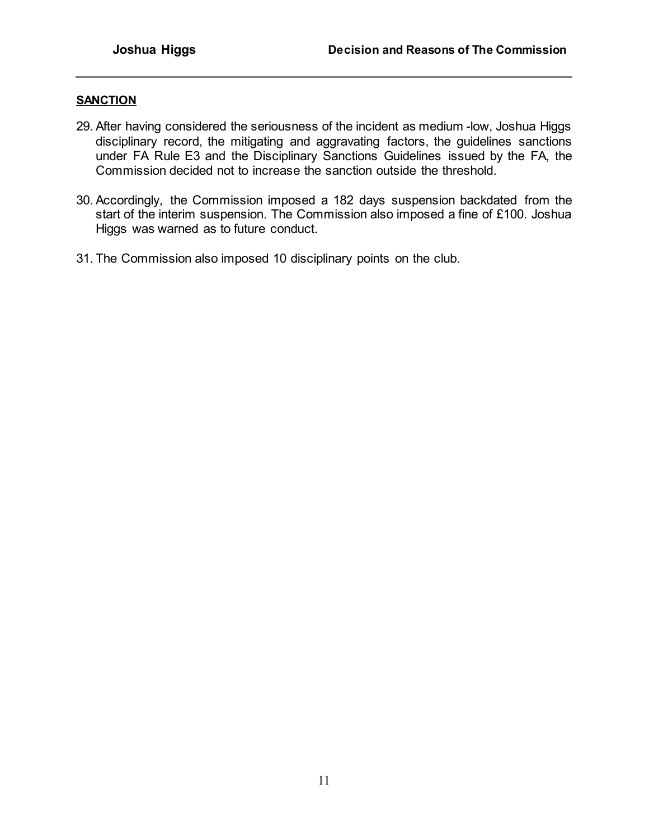#### **SANCTION**

- 29. After having considered the seriousness of the incident as medium -low, Joshua Higgs disciplinary record, the mitigating and aggravating factors, the guidelines sanctions under FA Rule E3 and the Disciplinary Sanctions Guidelines issued by the FA, the Commission decided not to increase the sanction outside the threshold.
- 30. Accordingly, the Commission imposed a 182 days suspension backdated from the start of the interim suspension. The Commission also imposed a fine of £100. Joshua Higgs was warned as to future conduct.
- 31. The Commission also imposed 10 disciplinary points on the club.